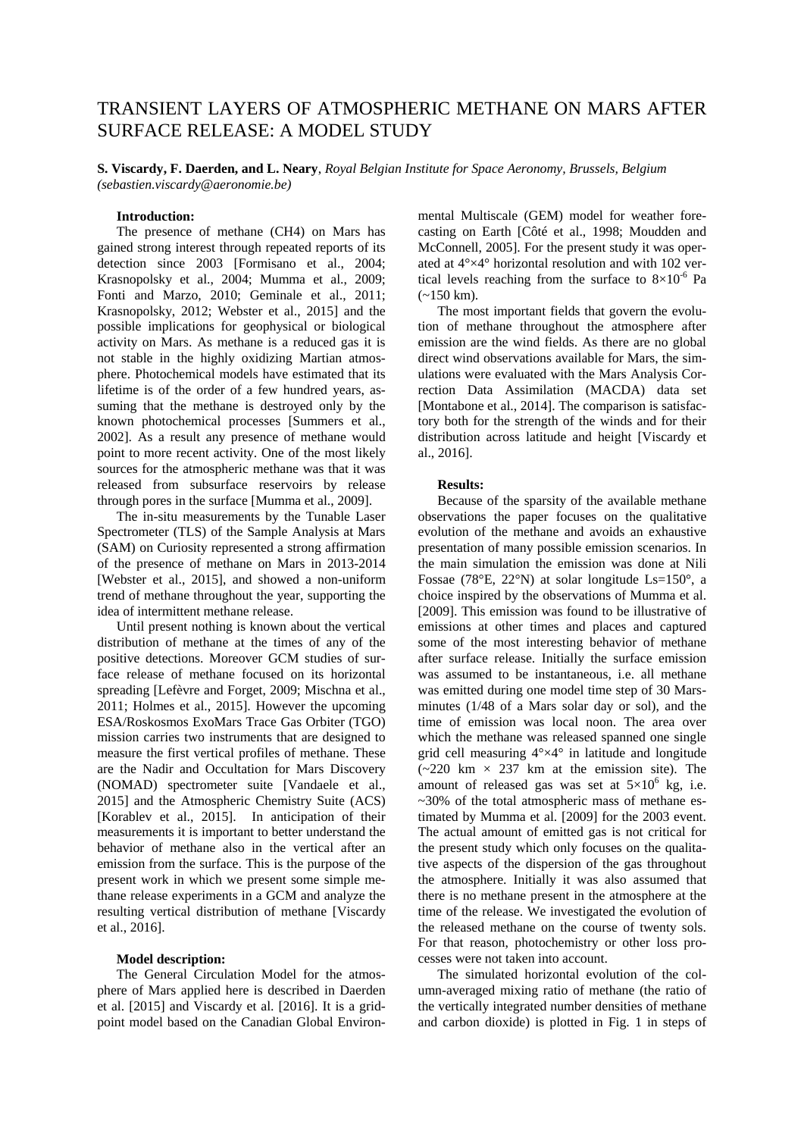# TRANSIENT LAYERS OF ATMOSPHERIC METHANE ON MARS AFTER SURFACE RELEASE: A MODEL STUDY

**S. Viscardy, F. Daerden, and L. Neary**, *Royal Belgian Institute for Space Aeronomy, Brussels, Belgium (sebastien.viscardy@aeronomie.be)*

# **Introduction:**

The presence of methane (CH4) on Mars has gained strong interest through repeated reports of its detection since 2003 [Formisano et al., 2004; Krasnopolsky et al., 2004; Mumma et al., 2009; Fonti and Marzo, 2010; Geminale et al., 2011; Krasnopolsky, 2012; Webster et al., 2015] and the possible implications for geophysical or biological activity on Mars. As methane is a reduced gas it is not stable in the highly oxidizing Martian atmosphere. Photochemical models have estimated that its lifetime is of the order of a few hundred years, assuming that the methane is destroyed only by the known photochemical processes [Summers et al., 2002]. As a result any presence of methane would point to more recent activity. One of the most likely sources for the atmospheric methane was that it was released from subsurface reservoirs by release through pores in the surface [Mumma et al., 2009].

The in-situ measurements by the Tunable Laser Spectrometer (TLS) of the Sample Analysis at Mars (SAM) on Curiosity represented a strong affirmation of the presence of methane on Mars in 2013-2014 [Webster et al., 2015], and showed a non-uniform trend of methane throughout the year, supporting the idea of intermittent methane release.

Until present nothing is known about the vertical distribution of methane at the times of any of the positive detections. Moreover GCM studies of surface release of methane focused on its horizontal spreading [Lefèvre and Forget, 2009; Mischna et al., 2011; Holmes et al., 2015]. However the upcoming ESA/Roskosmos ExoMars Trace Gas Orbiter (TGO) mission carries two instruments that are designed to measure the first vertical profiles of methane. These are the Nadir and Occultation for Mars Discovery (NOMAD) spectrometer suite [Vandaele et al., 2015] and the Atmospheric Chemistry Suite (ACS) [Korablev et al., 2015]. In anticipation of their measurements it is important to better understand the behavior of methane also in the vertical after an emission from the surface. This is the purpose of the present work in which we present some simple methane release experiments in a GCM and analyze the resulting vertical distribution of methane [Viscardy et al., 2016].

### **Model description:**

The General Circulation Model for the atmosphere of Mars applied here is described in Daerden et al. [2015] and Viscardy et al. [2016]. It is a gridpoint model based on the Canadian Global Environmental Multiscale (GEM) model for weather forecasting on Earth [Côté et al., 1998; Moudden and McConnell, 2005]. For the present study it was operated at 4°×4° horizontal resolution and with 102 vertical levels reaching from the surface to  $8 \times 10^{-6}$  Pa  $(-150 \text{ km})$ .

The most important fields that govern the evolution of methane throughout the atmosphere after emission are the wind fields. As there are no global direct wind observations available for Mars, the simulations were evaluated with the Mars Analysis Correction Data Assimilation (MACDA) data set [Montabone et al., 2014]. The comparison is satisfactory both for the strength of the winds and for their distribution across latitude and height [Viscardy et al., 2016].

#### **Results:**

Because of the sparsity of the available methane observations the paper focuses on the qualitative evolution of the methane and avoids an exhaustive presentation of many possible emission scenarios. In the main simulation the emission was done at Nili Fossae (78°E, 22°N) at solar longitude Ls=150°, a choice inspired by the observations of Mumma et al. [2009]. This emission was found to be illustrative of emissions at other times and places and captured some of the most interesting behavior of methane after surface release. Initially the surface emission was assumed to be instantaneous, i.e. all methane was emitted during one model time step of 30 Marsminutes (1/48 of a Mars solar day or sol), and the time of emission was local noon. The area over which the methane was released spanned one single grid cell measuring  $4^{\circ} \times 4^{\circ}$  in latitude and longitude  $(-220 \text{ km} \times 237 \text{ km} \text{ at the emission site})$ . The amount of released gas was set at  $5\times10^6$  kg, i.e. ~30% of the total atmospheric mass of methane estimated by Mumma et al. [2009] for the 2003 event. The actual amount of emitted gas is not critical for the present study which only focuses on the qualitative aspects of the dispersion of the gas throughout the atmosphere. Initially it was also assumed that there is no methane present in the atmosphere at the time of the release. We investigated the evolution of the released methane on the course of twenty sols. For that reason, photochemistry or other loss processes were not taken into account.

The simulated horizontal evolution of the column-averaged mixing ratio of methane (the ratio of the vertically integrated number densities of methane and carbon dioxide) is plotted in Fig. 1 in steps of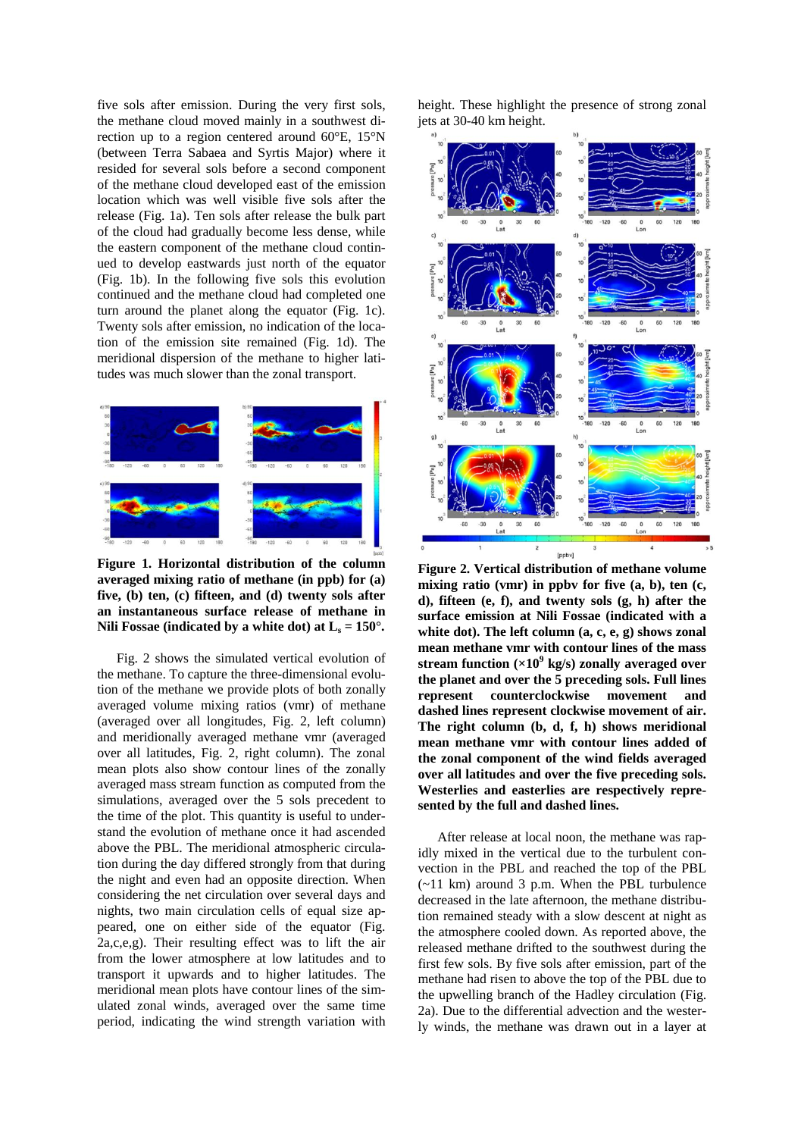five sols after emission. During the very first sols, the methane cloud moved mainly in a southwest direction up to a region centered around 60°E, 15°N (between Terra Sabaea and Syrtis Major) where it resided for several sols before a second component of the methane cloud developed east of the emission location which was well visible five sols after the release (Fig. 1a). Ten sols after release the bulk part of the cloud had gradually become less dense, while the eastern component of the methane cloud continued to develop eastwards just north of the equator (Fig. 1b). In the following five sols this evolution continued and the methane cloud had completed one turn around the planet along the equator (Fig. 1c). Twenty sols after emission, no indication of the location of the emission site remained (Fig. 1d). The meridional dispersion of the methane to higher latitudes was much slower than the zonal transport.



**Figure 1. Horizontal distribution of the column averaged mixing ratio of methane (in ppb) for (a) five, (b) ten, (c) fifteen, and (d) twenty sols after an instantaneous surface release of methane in**  Nili Fossae (indicated by a white dot) at  $L_s = 150^\circ$ .

Fig. 2 shows the simulated vertical evolution of the methane. To capture the three-dimensional evolution of the methane we provide plots of both zonally averaged volume mixing ratios (vmr) of methane (averaged over all longitudes, Fig. 2, left column) and meridionally averaged methane vmr (averaged over all latitudes, Fig. 2, right column). The zonal mean plots also show contour lines of the zonally averaged mass stream function as computed from the simulations, averaged over the 5 sols precedent to the time of the plot. This quantity is useful to understand the evolution of methane once it had ascended above the PBL. The meridional atmospheric circulation during the day differed strongly from that during the night and even had an opposite direction. When considering the net circulation over several days and nights, two main circulation cells of equal size appeared, one on either side of the equator (Fig. 2a,c,e,g). Their resulting effect was to lift the air from the lower atmosphere at low latitudes and to transport it upwards and to higher latitudes. The meridional mean plots have contour lines of the simulated zonal winds, averaged over the same time period, indicating the wind strength variation with

height. These highlight the presence of strong zonal jets at 30-40 km height.



**Figure 2. Vertical distribution of methane volume mixing ratio (vmr) in ppbv for five (a, b), ten (c, d), fifteen (e, f), and twenty sols (g, h) after the surface emission at Nili Fossae (indicated with a white dot). The left column (a, c, e, g) shows zonal mean methane vmr with contour lines of the mass stream function (×10<sup>9</sup> kg/s) zonally averaged over the planet and over the 5 preceding sols. Full lines represent counterclockwise movement and dashed lines represent clockwise movement of air. The right column (b, d, f, h) shows meridional mean methane vmr with contour lines added of the zonal component of the wind fields averaged over all latitudes and over the five preceding sols. Westerlies and easterlies are respectively represented by the full and dashed lines.**

After release at local noon, the methane was rapidly mixed in the vertical due to the turbulent convection in the PBL and reached the top of the PBL (~11 km) around 3 p.m. When the PBL turbulence decreased in the late afternoon, the methane distribution remained steady with a slow descent at night as the atmosphere cooled down. As reported above, the released methane drifted to the southwest during the first few sols. By five sols after emission, part of the methane had risen to above the top of the PBL due to the upwelling branch of the Hadley circulation (Fig. 2a). Due to the differential advection and the westerly winds, the methane was drawn out in a layer at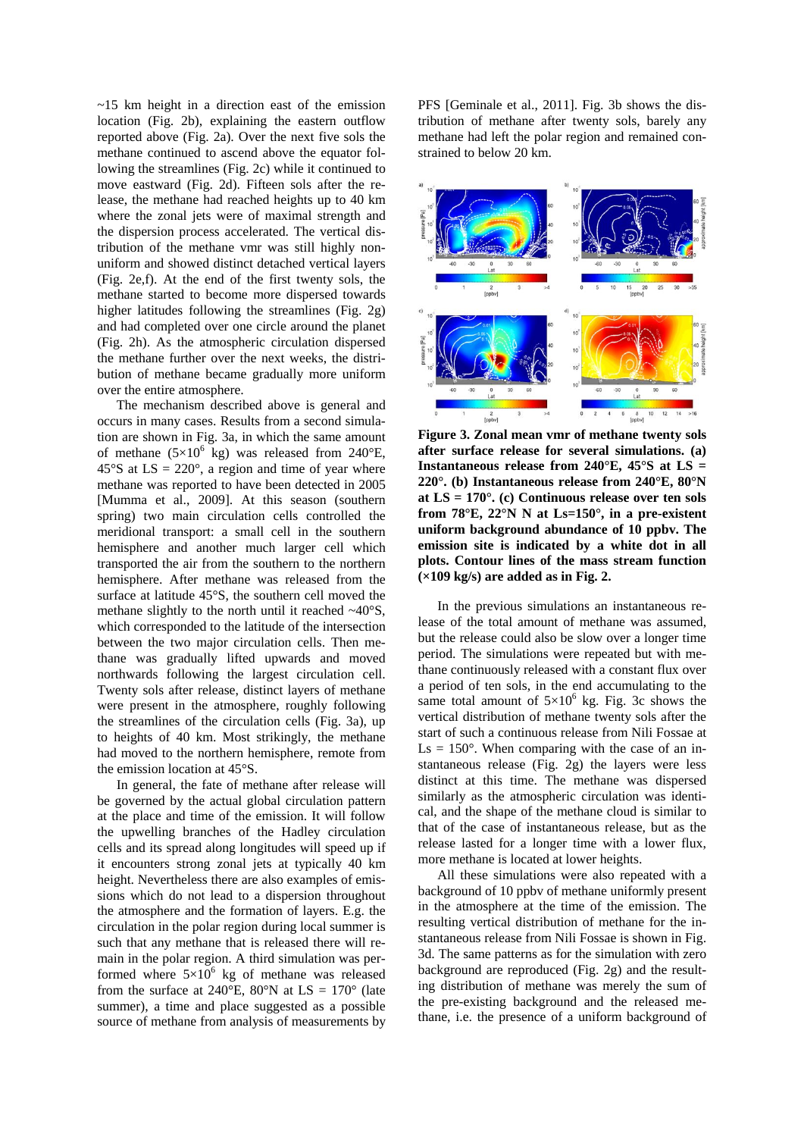$\sim$ 15 km height in a direction east of the emission location (Fig. 2b), explaining the eastern outflow reported above (Fig. 2a). Over the next five sols the methane continued to ascend above the equator following the streamlines (Fig. 2c) while it continued to move eastward (Fig. 2d). Fifteen sols after the release, the methane had reached heights up to 40 km where the zonal jets were of maximal strength and the dispersion process accelerated. The vertical distribution of the methane vmr was still highly nonuniform and showed distinct detached vertical layers (Fig. 2e,f). At the end of the first twenty sols, the methane started to become more dispersed towards higher latitudes following the streamlines (Fig. 2g) and had completed over one circle around the planet (Fig. 2h). As the atmospheric circulation dispersed the methane further over the next weeks, the distribution of methane became gradually more uniform over the entire atmosphere.

The mechanism described above is general and occurs in many cases. Results from a second simulation are shown in Fig. 3a, in which the same amount of methane  $(5\times10^{6} \text{ kg})$  was released from 240°E, 45°S at  $LS = 220^\circ$ , a region and time of year where methane was reported to have been detected in 2005 [Mumma et al., 2009]. At this season (southern spring) two main circulation cells controlled the meridional transport: a small cell in the southern hemisphere and another much larger cell which transported the air from the southern to the northern hemisphere. After methane was released from the surface at latitude 45°S, the southern cell moved the methane slightly to the north until it reached  $\sim40^{\circ}$ S, which corresponded to the latitude of the intersection between the two major circulation cells. Then methane was gradually lifted upwards and moved northwards following the largest circulation cell. Twenty sols after release, distinct layers of methane were present in the atmosphere, roughly following the streamlines of the circulation cells (Fig. 3a), up to heights of 40 km. Most strikingly, the methane had moved to the northern hemisphere, remote from the emission location at 45°S.

In general, the fate of methane after release will be governed by the actual global circulation pattern at the place and time of the emission. It will follow the upwelling branches of the Hadley circulation cells and its spread along longitudes will speed up if it encounters strong zonal jets at typically 40 km height. Nevertheless there are also examples of emissions which do not lead to a dispersion throughout the atmosphere and the formation of layers. E.g. the circulation in the polar region during local summer is such that any methane that is released there will remain in the polar region. A third simulation was performed where  $5\times10^6$  kg of methane was released from the surface at 240 $^{\circ}$ E, 80 $^{\circ}$ N at LS = 170 $^{\circ}$  (late summer), a time and place suggested as a possible source of methane from analysis of measurements by

PFS [Geminale et al., 2011]. Fig. 3b shows the distribution of methane after twenty sols, barely any methane had left the polar region and remained constrained to below 20 km.



**Figure 3. Zonal mean vmr of methane twenty sols after surface release for several simulations. (a) Instantaneous release from 240°E, 45°S at LS = 220°. (b) Instantaneous release from 240°E, 80°N at LS = 170°. (c) Continuous release over ten sols from 78°E, 22°N N at Ls=150°, in a pre-existent uniform background abundance of 10 ppbv. The emission site is indicated by a white dot in all plots. Contour lines of the mass stream function (×109 kg/s) are added as in Fig. 2.**

In the previous simulations an instantaneous release of the total amount of methane was assumed, but the release could also be slow over a longer time period. The simulations were repeated but with methane continuously released with a constant flux over a period of ten sols, in the end accumulating to the same total amount of  $5\times10^6$  kg. Fig. 3c shows the vertical distribution of methane twenty sols after the start of such a continuous release from Nili Fossae at  $\text{Ls} = 150^{\circ}$ . When comparing with the case of an instantaneous release (Fig. 2g) the layers were less distinct at this time. The methane was dispersed similarly as the atmospheric circulation was identical, and the shape of the methane cloud is similar to that of the case of instantaneous release, but as the release lasted for a longer time with a lower flux, more methane is located at lower heights.

All these simulations were also repeated with a background of 10 ppbv of methane uniformly present in the atmosphere at the time of the emission. The resulting vertical distribution of methane for the instantaneous release from Nili Fossae is shown in Fig. 3d. The same patterns as for the simulation with zero background are reproduced (Fig. 2g) and the resulting distribution of methane was merely the sum of the pre-existing background and the released methane, i.e. the presence of a uniform background of